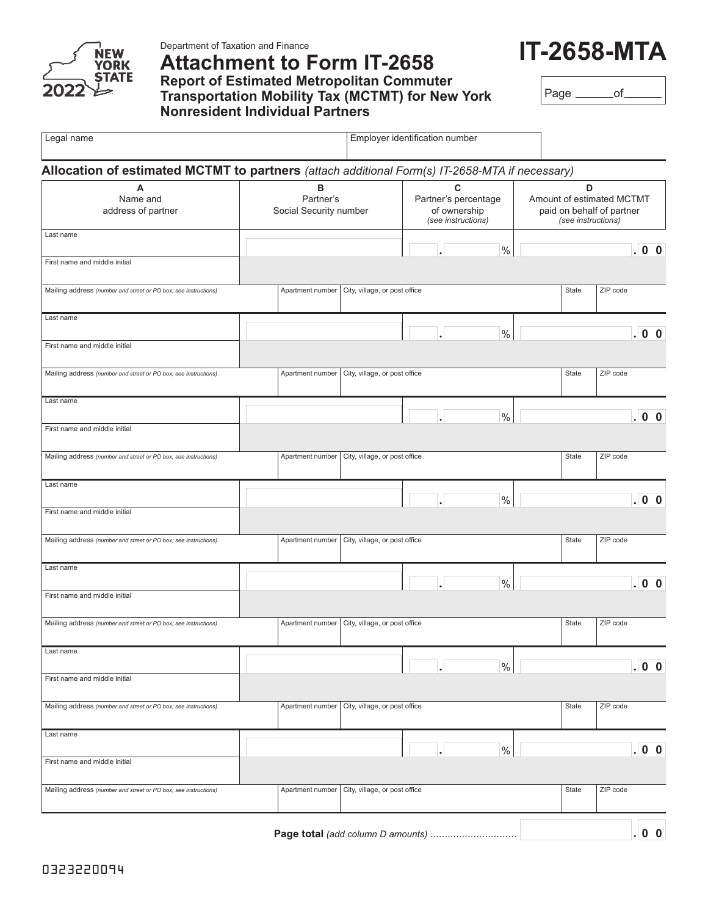

Department of Taxation and Finance

## **Attachment to Form IT-2658 Report of Estimated Metropolitan Commuter Transportation Mobility Tax (MCTMT) for New York Nonresident Individual Partners**



Page \_\_\_\_\_\_\_of\_

| Legal name                                                                                     |                                          | Employer identification number |                                                                 |      |                                                                                   |          |  |
|------------------------------------------------------------------------------------------------|------------------------------------------|--------------------------------|-----------------------------------------------------------------|------|-----------------------------------------------------------------------------------|----------|--|
| Allocation of estimated MCTMT to partners (attach additional Form(s) IT-2658-MTA if necessary) |                                          |                                |                                                                 |      |                                                                                   |          |  |
| A<br>Name and<br>address of partner                                                            | в<br>Partner's<br>Social Security number |                                | C<br>Partner's percentage<br>of ownership<br>(see instructions) |      | D<br>Amount of estimated MCTMT<br>paid on behalf of partner<br>(see instructions) |          |  |
| Last name                                                                                      |                                          |                                |                                                                 | $\%$ |                                                                                   | .00      |  |
| First name and middle initial                                                                  |                                          |                                |                                                                 |      |                                                                                   |          |  |
| Mailing address (number and street or PO box; see instructions)                                | Apartment number                         | City, village, or post office  |                                                                 |      | State                                                                             | ZIP code |  |
| Last name                                                                                      |                                          |                                |                                                                 | $\%$ |                                                                                   | .00      |  |
| First name and middle initial                                                                  |                                          |                                |                                                                 |      |                                                                                   |          |  |
| Mailing address (number and street or PO box; see instructions)                                | Apartment number                         | City, village, or post office  |                                                                 |      | State                                                                             | ZIP code |  |
| Last name                                                                                      |                                          |                                |                                                                 |      |                                                                                   |          |  |
| First name and middle initial                                                                  |                                          |                                |                                                                 | $\%$ |                                                                                   | .00      |  |
| Mailing address (number and street or PO box; see instructions)                                | Apartment number                         | City, village, or post office  |                                                                 |      | State                                                                             | ZIP code |  |
| Last name                                                                                      |                                          |                                |                                                                 |      |                                                                                   |          |  |
| First name and middle initial                                                                  |                                          |                                |                                                                 | $\%$ |                                                                                   | .00      |  |
| Mailing address (number and street or PO box; see instructions)                                | Apartment number                         | City, village, or post office  |                                                                 |      | State                                                                             | ZIP code |  |
| Last name                                                                                      |                                          |                                |                                                                 |      |                                                                                   |          |  |
| First name and middle initial                                                                  |                                          |                                |                                                                 | $\%$ |                                                                                   | . 00     |  |
| Mailing address (number and street or PO box; see instructions)                                | Apartment number                         | City, village, or post office  |                                                                 |      | State                                                                             | ZIP code |  |
| Last name                                                                                      |                                          |                                |                                                                 |      |                                                                                   |          |  |
| First name and middle initial                                                                  |                                          |                                |                                                                 | $\%$ |                                                                                   | .00      |  |
| Mailing address (number and street or PO box; see instructions)                                | Apartment number                         | City, village, or post office  |                                                                 |      | State                                                                             | ZIP code |  |
| Last name                                                                                      |                                          |                                |                                                                 |      |                                                                                   |          |  |
| First name and middle initial                                                                  |                                          |                                |                                                                 | $\%$ |                                                                                   | .00      |  |
| Mailing address (number and street or PO box; see instructions)                                | Apartment number                         | City, village, or post office  |                                                                 |      | State                                                                             | ZIP code |  |
|                                                                                                | Page total (add column D amounts)        |                                |                                                                 |      |                                                                                   | .00      |  |